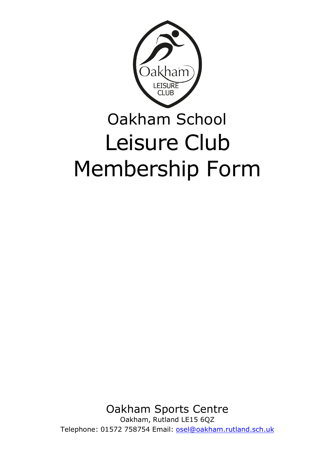

# Oakham School Leisure Club Membership Form

Oakham Sports Centre Oakham, Rutland LE15 6QZ

Telephone: 01572 758754 Email: [osel@oakham.rutland.sch.uk](mailto:osel@oakham.rutland.sch.uk)